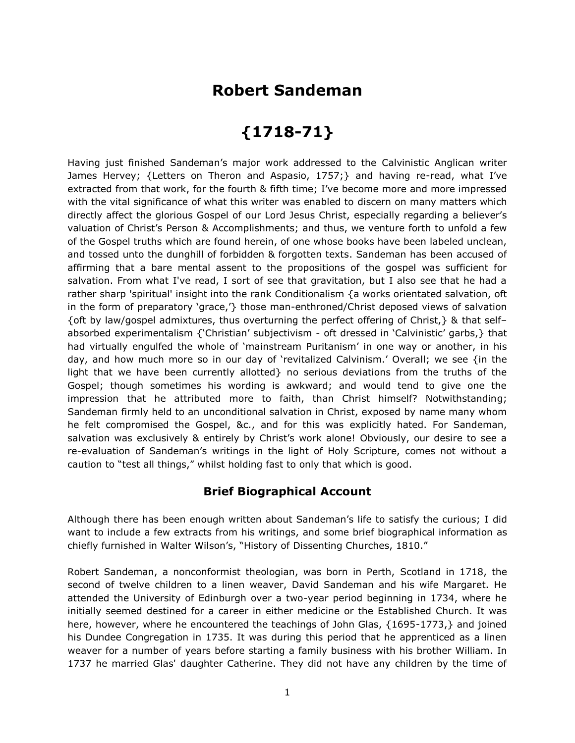## **Robert Sandeman**

## **{1718-71}**

Having just finished Sandeman's major work addressed to the Calvinistic Anglican writer James Hervey; {Letters on Theron and Aspasio, 1757;} and having re-read, what I've extracted from that work, for the fourth & fifth time; I've become more and more impressed with the vital significance of what this writer was enabled to discern on many matters which directly affect the glorious Gospel of our Lord Jesus Christ, especially regarding a believer's valuation of Christ's Person & Accomplishments; and thus, we venture forth to unfold a few of the Gospel truths which are found herein, of one whose books have been labeled unclean, and tossed unto the dunghill of forbidden & forgotten texts. Sandeman has been accused of affirming that a bare mental assent to the propositions of the gospel was sufficient for salvation. From what I've read, I sort of see that gravitation, but I also see that he had a rather sharp 'spiritual' insight into the rank Conditionalism {a works orientated salvation, oft in the form of preparatory 'grace,'} those man-enthroned/Christ deposed views of salvation {oft by law/gospel admixtures, thus overturning the perfect offering of Christ,} & that self– absorbed experimentalism {'Christian' subjectivism - oft dressed in 'Calvinistic' garbs,} that had virtually engulfed the whole of 'mainstream Puritanism' in one way or another, in his day, and how much more so in our day of 'revitalized Calvinism.' Overall; we see {in the light that we have been currently allotted} no serious deviations from the truths of the Gospel; though sometimes his wording is awkward; and would tend to give one the impression that he attributed more to faith, than Christ himself? Notwithstanding; Sandeman firmly held to an unconditional salvation in Christ, exposed by name many whom he felt compromised the Gospel, &c., and for this was explicitly hated. For Sandeman, salvation was exclusively & entirely by Christ's work alone! Obviously, our desire to see a re-evaluation of Sandeman's writings in the light of Holy Scripture, comes not without a caution to "test all things," whilst holding fast to only that which is good.

## **Brief Biographical Account**

Although there has been enough written about Sandeman's life to satisfy the curious; I did want to include a few extracts from his writings, and some brief biographical information as chiefly furnished in Walter Wilson's, "History of Dissenting Churches, 1810."

Robert Sandeman, a nonconformist theologian, was born in Perth, Scotland in 1718, the second of twelve children to a linen weaver, David Sandeman and his wife Margaret. He attended the University of Edinburgh over a two-year period beginning in 1734, where he initially seemed destined for a career in either medicine or the Established Church. It was here, however, where he encountered the teachings of John Glas, {1695-1773,} and joined his Dundee Congregation in 1735. It was during this period that he apprenticed as a linen weaver for a number of years before starting a family business with his brother William. In 1737 he married Glas' daughter Catherine. They did not have any children by the time of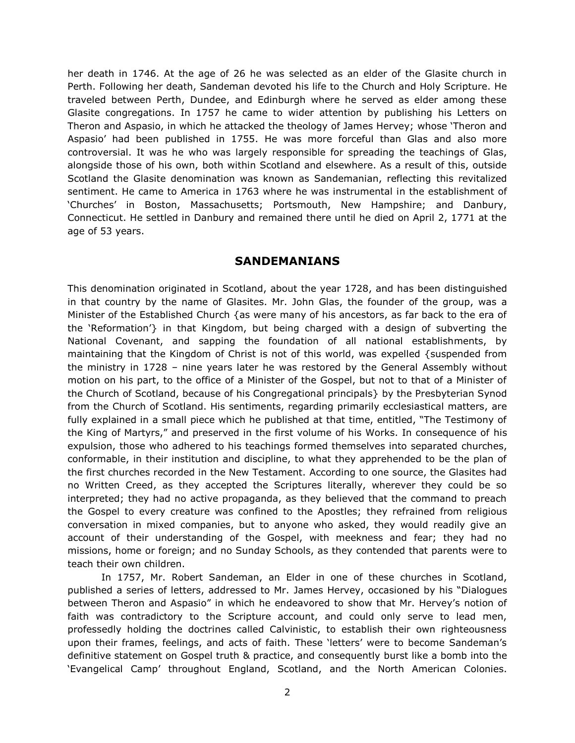her death in 1746. At the age of 26 he was selected as an elder of the Glasite church in Perth. Following her death, Sandeman devoted his life to the Church and Holy Scripture. He traveled between Perth, Dundee, and Edinburgh where he served as elder among these Glasite congregations. In 1757 he came to wider attention by publishing his Letters on Theron and Aspasio, in which he attacked the theology of James Hervey; whose 'Theron and Aspasio' had been published in 1755. He was more forceful than Glas and also more controversial. It was he who was largely responsible for spreading the teachings of Glas, alongside those of his own, both within Scotland and elsewhere. As a result of this, outside Scotland the Glasite denomination was known as Sandemanian, reflecting this revitalized sentiment. He came to America in 1763 where he was instrumental in the establishment of 'Churches' in Boston, Massachusetts; Portsmouth, New Hampshire; and Danbury, Connecticut. He settled in Danbury and remained there until he died on April 2, 1771 at the age of 53 years.

## **SANDEMANIANS**

This denomination originated in Scotland, about the year 1728, and has been distinguished in that country by the name of Glasites. Mr. John Glas, the founder of the group, was a Minister of the Established Church {as were many of his ancestors, as far back to the era of the 'Reformation'} in that Kingdom, but being charged with a design of subverting the National Covenant, and sapping the foundation of all national establishments, by maintaining that the Kingdom of Christ is not of this world, was expelled {suspended from the ministry in 1728 – nine years later he was restored by the General Assembly without motion on his part, to the office of a Minister of the Gospel, but not to that of a Minister of the Church of Scotland, because of his Congregational principals} by the Presbyterian Synod from the Church of Scotland. His sentiments, regarding primarily ecclesiastical matters, are fully explained in a small piece which he published at that time, entitled, "The Testimony of the King of Martyrs," and preserved in the first volume of his Works. In consequence of his expulsion, those who adhered to his teachings formed themselves into separated churches, conformable, in their institution and discipline, to what they apprehended to be the plan of the first churches recorded in the New Testament. According to one source, the Glasites had no Written Creed, as they accepted the Scriptures literally, wherever they could be so interpreted; they had no active propaganda, as they believed that the command to preach the Gospel to every creature was confined to the Apostles; they refrained from religious conversation in mixed companies, but to anyone who asked, they would readily give an account of their understanding of the Gospel, with meekness and fear; they had no missions, home or foreign; and no Sunday Schools, as they contended that parents were to teach their own children.

In 1757, Mr. Robert Sandeman, an Elder in one of these churches in Scotland, published a series of letters, addressed to Mr. James Hervey, occasioned by his "Dialogues between Theron and Aspasio" in which he endeavored to show that Mr. Hervey's notion of faith was contradictory to the Scripture account, and could only serve to lead men, professedly holding the doctrines called Calvinistic, to establish their own righteousness upon their frames, feelings, and acts of faith. These 'letters' were to become Sandeman's definitive statement on Gospel truth & practice, and consequently burst like a bomb into the 'Evangelical Camp' throughout England, Scotland, and the North American Colonies.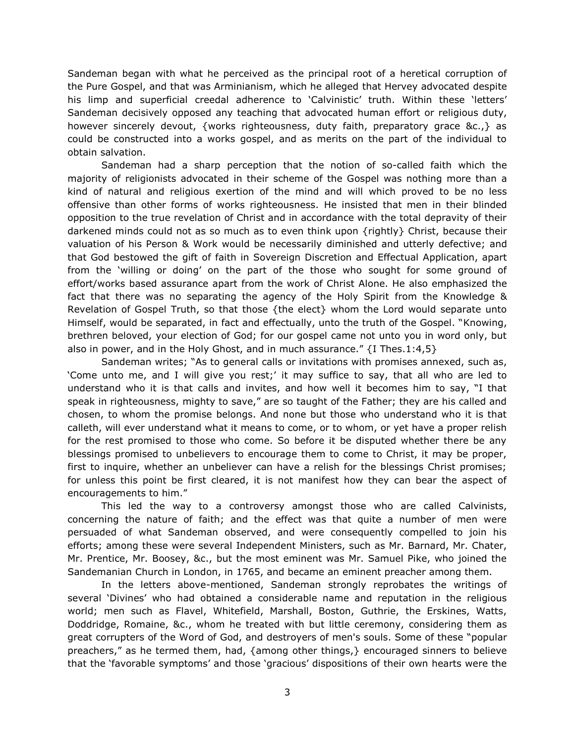Sandeman began with what he perceived as the principal root of a heretical corruption of the Pure Gospel, and that was Arminianism, which he alleged that Hervey advocated despite his limp and superficial creedal adherence to 'Calvinistic' truth. Within these 'letters' Sandeman decisively opposed any teaching that advocated human effort or religious duty, however sincerely devout, {works righteousness, duty faith, preparatory grace &c.,} as could be constructed into a works gospel, and as merits on the part of the individual to obtain salvation.

Sandeman had a sharp perception that the notion of so-called faith which the majority of religionists advocated in their scheme of the Gospel was nothing more than a kind of natural and religious exertion of the mind and will which proved to be no less offensive than other forms of works righteousness. He insisted that men in their blinded opposition to the true revelation of Christ and in accordance with the total depravity of their darkened minds could not as so much as to even think upon {rightly} Christ, because their valuation of his Person & Work would be necessarily diminished and utterly defective; and that God bestowed the gift of faith in Sovereign Discretion and Effectual Application, apart from the 'willing or doing' on the part of the those who sought for some ground of effort/works based assurance apart from the work of Christ Alone. He also emphasized the fact that there was no separating the agency of the Holy Spirit from the Knowledge & Revelation of Gospel Truth, so that those {the elect} whom the Lord would separate unto Himself, would be separated, in fact and effectually, unto the truth of the Gospel. "Knowing, brethren beloved, your election of God; for our gospel came not unto you in word only, but also in power, and in the Holy Ghost, and in much assurance." {I Thes.1:4,5}

Sandeman writes; "As to general calls or invitations with promises annexed, such as, 'Come unto me, and I will give you rest;' it may suffice to say, that all who are led to understand who it is that calls and invites, and how well it becomes him to say, "I that speak in righteousness, mighty to save," are so taught of the Father; they are his called and chosen, to whom the promise belongs. And none but those who understand who it is that calleth, will ever understand what it means to come, or to whom, or yet have a proper relish for the rest promised to those who come. So before it be disputed whether there be any blessings promised to unbelievers to encourage them to come to Christ, it may be proper, first to inquire, whether an unbeliever can have a relish for the blessings Christ promises; for unless this point be first cleared, it is not manifest how they can bear the aspect of encouragements to him."

This led the way to a controversy amongst those who are called Calvinists, concerning the nature of faith; and the effect was that quite a number of men were persuaded of what Sandeman observed, and were consequently compelled to join his efforts; among these were several Independent Ministers, such as Mr. Barnard, Mr. Chater, Mr. Prentice, Mr. Boosey, &c., but the most eminent was Mr. Samuel Pike, who joined the Sandemanian Church in London, in 1765, and became an eminent preacher among them.

In the letters above-mentioned, Sandeman strongly reprobates the writings of several 'Divines' who had obtained a considerable name and reputation in the religious world; men such as Flavel, Whitefield, Marshall, Boston, Guthrie, the Erskines, Watts, Doddridge, Romaine, &c., whom he treated with but little ceremony, considering them as great corrupters of the Word of God, and destroyers of men's souls. Some of these "popular preachers," as he termed them, had, {among other things,} encouraged sinners to believe that the 'favorable symptoms' and those 'gracious' dispositions of their own hearts were the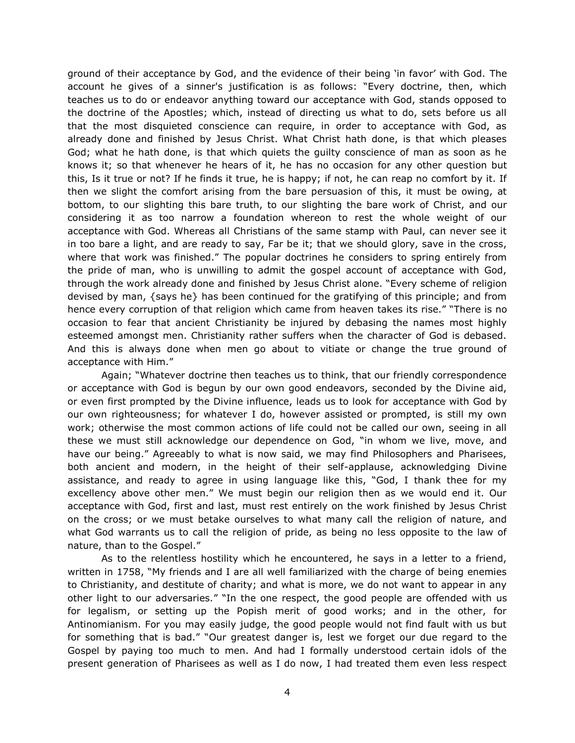ground of their acceptance by God, and the evidence of their being 'in favor' with God. The account he gives of a sinner's justification is as follows: "Every doctrine, then, which teaches us to do or endeavor anything toward our acceptance with God, stands opposed to the doctrine of the Apostles; which, instead of directing us what to do, sets before us all that the most disquieted conscience can require, in order to acceptance with God, as already done and finished by Jesus Christ. What Christ hath done, is that which pleases God; what he hath done, is that which quiets the guilty conscience of man as soon as he knows it; so that whenever he hears of it, he has no occasion for any other question but this, Is it true or not? If he finds it true, he is happy; if not, he can reap no comfort by it. If then we slight the comfort arising from the bare persuasion of this, it must be owing, at bottom, to our slighting this bare truth, to our slighting the bare work of Christ, and our considering it as too narrow a foundation whereon to rest the whole weight of our acceptance with God. Whereas all Christians of the same stamp with Paul, can never see it in too bare a light, and are ready to say, Far be it; that we should glory, save in the cross, where that work was finished." The popular doctrines he considers to spring entirely from the pride of man, who is unwilling to admit the gospel account of acceptance with God, through the work already done and finished by Jesus Christ alone. "Every scheme of religion devised by man, {says he} has been continued for the gratifying of this principle; and from hence every corruption of that religion which came from heaven takes its rise." "There is no occasion to fear that ancient Christianity be injured by debasing the names most highly esteemed amongst men. Christianity rather suffers when the character of God is debased. And this is always done when men go about to vitiate or change the true ground of acceptance with Him."

Again; "Whatever doctrine then teaches us to think, that our friendly correspondence or acceptance with God is begun by our own good endeavors, seconded by the Divine aid, or even first prompted by the Divine influence, leads us to look for acceptance with God by our own righteousness; for whatever I do, however assisted or prompted, is still my own work; otherwise the most common actions of life could not be called our own, seeing in all these we must still acknowledge our dependence on God, "in whom we live, move, and have our being." Agreeably to what is now said, we may find Philosophers and Pharisees, both ancient and modern, in the height of their self-applause, acknowledging Divine assistance, and ready to agree in using language like this, "God, I thank thee for my excellency above other men." We must begin our religion then as we would end it. Our acceptance with God, first and last, must rest entirely on the work finished by Jesus Christ on the cross; or we must betake ourselves to what many call the religion of nature, and what God warrants us to call the religion of pride, as being no less opposite to the law of nature, than to the Gospel."

As to the relentless hostility which he encountered, he says in a letter to a friend, written in 1758, "My friends and I are all well familiarized with the charge of being enemies to Christianity, and destitute of charity; and what is more, we do not want to appear in any other light to our adversaries." "In the one respect, the good people are offended with us for legalism, or setting up the Popish merit of good works; and in the other, for Antinomianism. For you may easily judge, the good people would not find fault with us but for something that is bad." "Our greatest danger is, lest we forget our due regard to the Gospel by paying too much to men. And had I formally understood certain idols of the present generation of Pharisees as well as I do now, I had treated them even less respect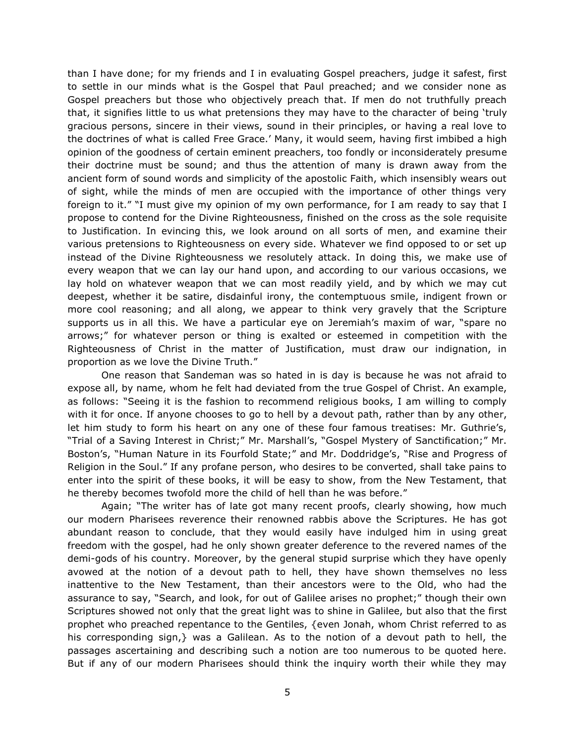than I have done; for my friends and I in evaluating Gospel preachers, judge it safest, first to settle in our minds what is the Gospel that Paul preached; and we consider none as Gospel preachers but those who objectively preach that. If men do not truthfully preach that, it signifies little to us what pretensions they may have to the character of being 'truly gracious persons, sincere in their views, sound in their principles, or having a real love to the doctrines of what is called Free Grace.' Many, it would seem, having first imbibed a high opinion of the goodness of certain eminent preachers, too fondly or inconsiderately presume their doctrine must be sound; and thus the attention of many is drawn away from the ancient form of sound words and simplicity of the apostolic Faith, which insensibly wears out of sight, while the minds of men are occupied with the importance of other things very foreign to it." "I must give my opinion of my own performance, for I am ready to say that I propose to contend for the Divine Righteousness, finished on the cross as the sole requisite to Justification. In evincing this, we look around on all sorts of men, and examine their various pretensions to Righteousness on every side. Whatever we find opposed to or set up instead of the Divine Righteousness we resolutely attack. In doing this, we make use of every weapon that we can lay our hand upon, and according to our various occasions, we lay hold on whatever weapon that we can most readily yield, and by which we may cut deepest, whether it be satire, disdainful irony, the contemptuous smile, indigent frown or more cool reasoning; and all along, we appear to think very gravely that the Scripture supports us in all this. We have a particular eye on Jeremiah's maxim of war, "spare no arrows;" for whatever person or thing is exalted or esteemed in competition with the Righteousness of Christ in the matter of Justification, must draw our indignation, in proportion as we love the Divine Truth."

One reason that Sandeman was so hated in is day is because he was not afraid to expose all, by name, whom he felt had deviated from the true Gospel of Christ. An example, as follows: "Seeing it is the fashion to recommend religious books, I am willing to comply with it for once. If anyone chooses to go to hell by a devout path, rather than by any other, let him study to form his heart on any one of these four famous treatises: Mr. Guthrie's, "Trial of a Saving Interest in Christ;" Mr. Marshall's, "Gospel Mystery of Sanctification;" Mr. Boston's, "Human Nature in its Fourfold State;" and Mr. Doddridge's, "Rise and Progress of Religion in the Soul." If any profane person, who desires to be converted, shall take pains to enter into the spirit of these books, it will be easy to show, from the New Testament, that he thereby becomes twofold more the child of hell than he was before."

Again; "The writer has of late got many recent proofs, clearly showing, how much our modern Pharisees reverence their renowned rabbis above the Scriptures. He has got abundant reason to conclude, that they would easily have indulged him in using great freedom with the gospel, had he only shown greater deference to the revered names of the demi-gods of his country. Moreover, by the general stupid surprise which they have openly avowed at the notion of a devout path to hell, they have shown themselves no less inattentive to the New Testament, than their ancestors were to the Old, who had the assurance to say, "Search, and look, for out of Galilee arises no prophet;" though their own Scriptures showed not only that the great light was to shine in Galilee, but also that the first prophet who preached repentance to the Gentiles, {even Jonah, whom Christ referred to as his corresponding sign, was a Galilean. As to the notion of a devout path to hell, the passages ascertaining and describing such a notion are too numerous to be quoted here. But if any of our modern Pharisees should think the inquiry worth their while they may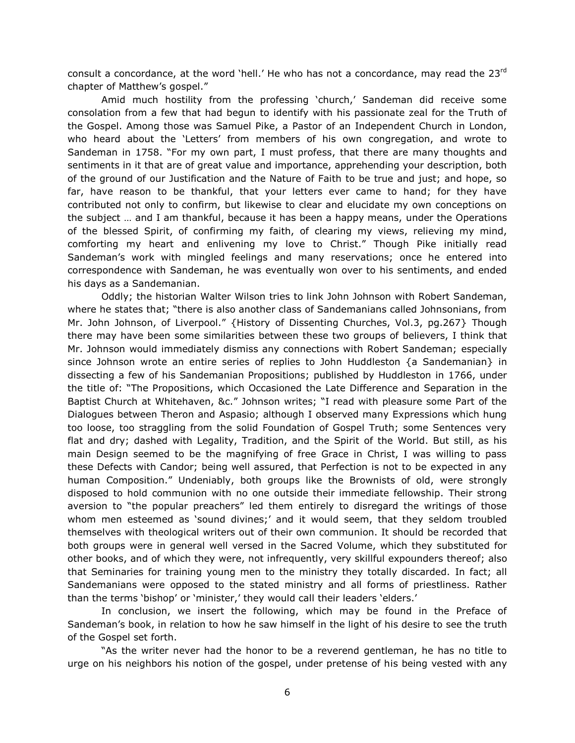consult a concordance, at the word 'hell.' He who has not a concordance, may read the  $23^{rd}$ chapter of Matthew's gospel."

Amid much hostility from the professing 'church,' Sandeman did receive some consolation from a few that had begun to identify with his passionate zeal for the Truth of the Gospel. Among those was Samuel Pike, a Pastor of an Independent Church in London, who heard about the 'Letters' from members of his own congregation, and wrote to Sandeman in 1758. "For my own part, I must profess, that there are many thoughts and sentiments in it that are of great value and importance, apprehending your description, both of the ground of our Justification and the Nature of Faith to be true and just; and hope, so far, have reason to be thankful, that your letters ever came to hand; for they have contributed not only to confirm, but likewise to clear and elucidate my own conceptions on the subject … and I am thankful, because it has been a happy means, under the Operations of the blessed Spirit, of confirming my faith, of clearing my views, relieving my mind, comforting my heart and enlivening my love to Christ." Though Pike initially read Sandeman's work with mingled feelings and many reservations; once he entered into correspondence with Sandeman, he was eventually won over to his sentiments, and ended his days as a Sandemanian.

Oddly; the historian Walter Wilson tries to link John Johnson with Robert Sandeman, where he states that; "there is also another class of Sandemanians called Johnsonians, from Mr. John Johnson, of Liverpool." {History of Dissenting Churches, Vol.3, pg.267} Though there may have been some similarities between these two groups of believers, I think that Mr. Johnson would immediately dismiss any connections with Robert Sandeman; especially since Johnson wrote an entire series of replies to John Huddleston {a Sandemanian} in dissecting a few of his Sandemanian Propositions; published by Huddleston in 1766, under the title of: "The Propositions, which Occasioned the Late Difference and Separation in the Baptist Church at Whitehaven, &c." Johnson writes; "I read with pleasure some Part of the Dialogues between Theron and Aspasio; although I observed many Expressions which hung too loose, too straggling from the solid Foundation of Gospel Truth; some Sentences very flat and dry; dashed with Legality, Tradition, and the Spirit of the World. But still, as his main Design seemed to be the magnifying of free Grace in Christ, I was willing to pass these Defects with Candor; being well assured, that Perfection is not to be expected in any human Composition." Undeniably, both groups like the Brownists of old, were strongly disposed to hold communion with no one outside their immediate fellowship. Their strong aversion to "the popular preachers" led them entirely to disregard the writings of those whom men esteemed as 'sound divines;' and it would seem, that they seldom troubled themselves with theological writers out of their own communion. It should be recorded that both groups were in general well versed in the Sacred Volume, which they substituted for other books, and of which they were, not infrequently, very skillful expounders thereof; also that Seminaries for training young men to the ministry they totally discarded. In fact; all Sandemanians were opposed to the stated ministry and all forms of priestliness. Rather than the terms 'bishop' or 'minister,' they would call their leaders 'elders.'

In conclusion, we insert the following, which may be found in the Preface of Sandeman's book, in relation to how he saw himself in the light of his desire to see the truth of the Gospel set forth.

"As the writer never had the honor to be a reverend gentleman, he has no title to urge on his neighbors his notion of the gospel, under pretense of his being vested with any